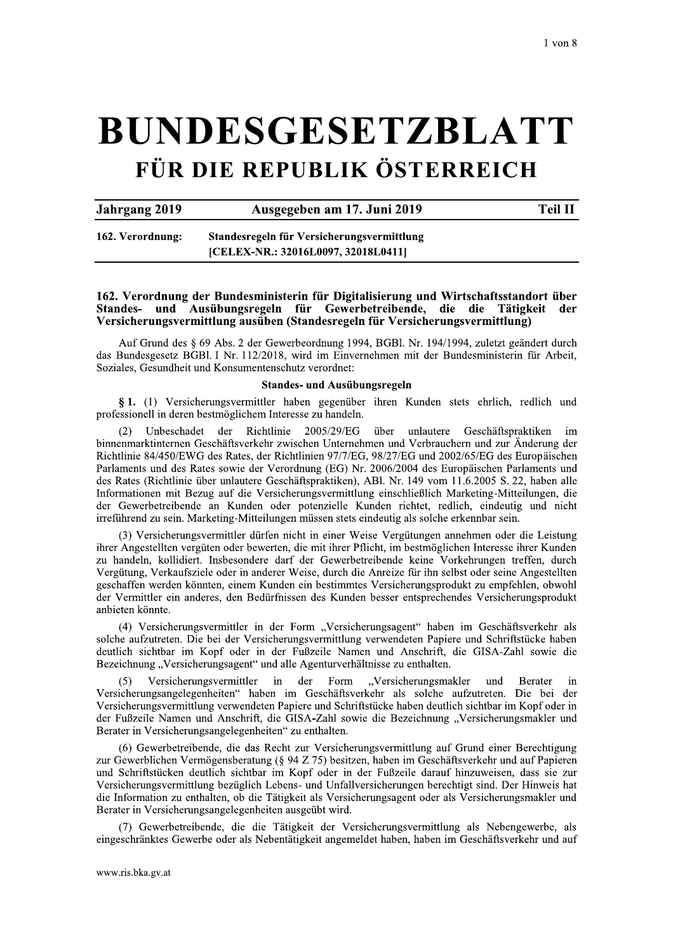# **BUNDESGESETZBLATT** FÜR DIE REPUBLIK ÖSTERREICH

**Jahrgang 2019** 

Ausgegeben am 17. Juni 2019

**Teil II** 

162. Verordnung: Standesregeln für Versicherungsvermittlung [CELEX-NR.: 32016L0097, 32018L0411]

#### 162. Verordnung der Bundesministerin für Digitalisierung und Wirtschaftsstandort über Standes- und Ausübungsregeln für Gewerbetreibende, die die Tätigkeit der Versicherungsvermittlung ausüben (Standesregeln für Versicherungsvermittlung)

Auf Grund des § 69 Abs. 2 der Gewerbeordnung 1994, BGBl. Nr. 194/1994, zuletzt geändert durch das Bundesgesetz BGBl. I Nr. 112/2018, wird im Einvernehmen mit der Bundesministerin für Arbeit. Soziales, Gesundheit und Konsumentenschutz verordnet:

#### Standes- und Ausübungsregeln

§ 1. (1) Versicherungsvermittler haben gegenüber ihren Kunden stets ehrlich, redlich und professionell in deren bestmöglichem Interesse zu handeln.

Unbeschadet der Richtlinie 2005/29/EG über unlautere Geschäftspraktiken  $\mathbf{im}$ binnenmarktinternen Geschäftsverkehr zwischen Unternehmen und Verbrauchern und zur Änderung der Richtlinie 84/450/EWG des Rates, der Richtlinien 97/7/EG, 98/27/EG und 2002/65/EG des Europäischen Parlaments und des Rates sowie der Verordnung (EG) Nr. 2006/2004 des Europäischen Parlaments und des Rates (Richtlinie über unlautere Geschäftspraktiken), ABl. Nr. 149 vom 11.6.2005 S. 22, haben alle Informationen mit Bezug auf die Versicherungsvermittlung einschließlich Marketing-Mitteilungen, die der Gewerbetreibende an Kunden oder potenzielle Kunden richtet, redlich, eindeutig und nicht irreführend zu sein. Marketing-Mitteilungen müssen stets eindeutig als solche erkennbar sein.

(3) Versicherungsvermittler dürfen nicht in einer Weise Vergütungen annehmen oder die Leistung ihrer Angestellten vergüten oder bewerten, die mit ihrer Pflicht, im bestmöglichen Interesse ihrer Kunden zu handeln, kollidiert. Insbesondere darf der Gewerbetreibende keine Vorkehrungen treffen, durch Vergütung, Verkaufsziele oder in anderer Weise, durch die Anreize für ihn selbst oder seine Angestellten geschaffen werden könnten, einem Kunden ein bestimmtes Versicherungsprodukt zu empfehlen, obwohl der Vermittler ein anderes, den Bedürfnissen des Kunden besser entsprechendes Versicherungsprodukt anbieten könnte.

(4) Versicherungsvermittler in der Form "Versicherungsagent" haben im Geschäftsverkehr als solche aufzutreten. Die bei der Versicherungsvermittlung verwendeten Papiere und Schriftstücke haben deutlich sichtbar im Kopf oder in der Fußzeile Namen und Anschrift, die GISA-Zahl sowie die Bezeichnung "Versicherungsagent" und alle Agenturverhältnisse zu enthalten.

"Versicherungsmakler Versicherungsvermittler  $in$ der Form und **Berater** in Versicherungsangelegenheiten" haben im Geschäftsverkehr als solche aufzutreten. Die bei der Versicherungsvermittlung verwendeten Papiere und Schriftstücke haben deutlich sichtbar im Kopf oder in der Fußzeile Namen und Anschrift, die GISA-Zahl sowie die Bezeichnung "Versicherungsmakler und Berater in Versicherungsangelegenheiten" zu enthalten.

(6) Gewerbetreibende, die das Recht zur Versicherungsvermittlung auf Grund einer Berechtigung zur Gewerblichen Vermögensberatung (§ 94 Z 75) besitzen, haben im Geschäftsverkehr und auf Papieren und Schriftstücken deutlich sichtbar im Kopf oder in der Fußzeile darauf hinzuweisen, dass sie zur Versicherungsvermittlung bezüglich Lebens- und Unfallversicherungen berechtigt sind. Der Hinweis hat die Information zu enthalten, ob die Tätigkeit als Versicherungsagent oder als Versicherungsmakler und Berater in Versicherungsangelegenheiten ausgeübt wird.

(7) Gewerbetreibende, die die Tätigkeit der Versicherungsvermittlung als Nebengewerbe, als eingeschränktes Gewerbe oder als Nebentätigkeit angemeldet haben, haben im Geschäftsverkehr und auf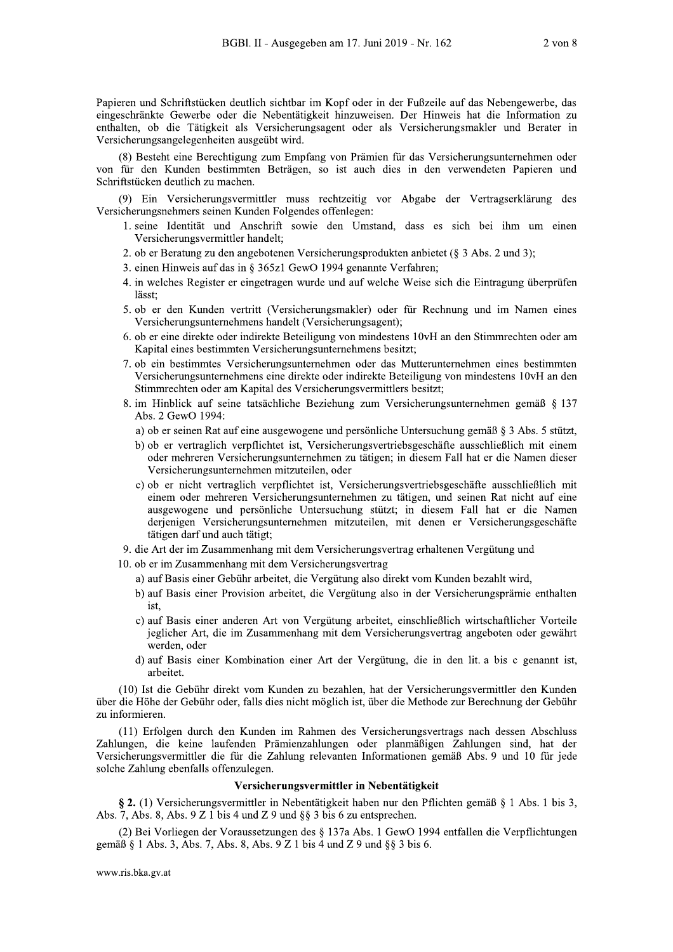Papieren und Schriftstücken deutlich sichtbar im Kopf oder in der Fußzeile auf das Nebengewerbe, das eingeschränkte Gewerbe oder die Nebentätigkeit hinzuweisen. Der Hinweis hat die Information zu enthalten, ob die Tätigkeit als Versicherungsagent oder als Versicherungsmakler und Berater in Versicherungsangelegenheiten ausgeübt wird.

(8) Besteht eine Berechtigung zum Empfang von Prämien für das Versicherungsunternehmen oder von für den Kunden bestimmten Beträgen, so ist auch dies in den verwendeten Papieren und Schriftstücken deutlich zu machen.

(9) Ein Versicherungsvermittler muss rechtzeitig vor Abgabe der Vertragserklärung des Versicherungsnehmers seinen Kunden Folgendes offenlegen:

- 1. seine Identität und Anschrift sowie den Umstand, dass es sich bei ihm um einen Versicherungsvermittler handelt;
- 2. ob er Beratung zu den angebotenen Versicherungsprodukten anbietet (§ 3 Abs. 2 und 3);
- 3. einen Hinweis auf das in § 365z1 GewO 1994 genannte Verfahren;
- 4. in welches Register er eingetragen wurde und auf welche Weise sich die Eintragung überprüfen lässt:
- 5. ob er den Kunden vertritt (Versicherungsmakler) oder für Rechnung und im Namen eines Versicherungsunternehmens handelt (Versicherungsagent);
- 6. ob er eine direkte oder indirekte Beteiligung von mindestens 10vH an den Stimmrechten oder am Kapital eines bestimmten Versicherungsunternehmens besitzt;
- 7. ob ein bestimmtes Versicherungsunternehmen oder das Mutterunternehmen eines bestimmten Versicherungsunternehmens eine direkte oder indirekte Beteiligung von mindestens 10vH an den Stimmrechten oder am Kapital des Versicherungsvermittlers besitzt;
- 8. im Hinblick auf seine tatsächliche Beziehung zum Versicherungsunternehmen gemäß § 137 Abs. 2 GewO 1994:
	- a) ob er seinen Rat auf eine ausgewogene und persönliche Untersuchung gemäß § 3 Abs. 5 stützt,
	- b) ob er vertraglich verpflichtet ist, Versicherungsvertriebsgeschäfte ausschließlich mit einem oder mehreren Versicherungsunternehmen zu tätigen; in diesem Fall hat er die Namen dieser Versicherungsunternehmen mitzuteilen, oder
	- c) ob er nicht vertraglich verpflichtet ist, Versicherungsvertriebsgeschäfte ausschließlich mit einem oder mehreren Versicherungsunternehmen zu tätigen, und seinen Rat nicht auf eine ausgewogene und persönliche Untersuchung stützt; in diesem Fall hat er die Namen derjenigen Versicherungsunternehmen mitzuteilen, mit denen er Versicherungsgeschäfte tätigen darf und auch tätigt;
- 9. die Art der im Zusammenhang mit dem Versicherungsvertrag erhaltenen Vergütung und
- 10. ob er im Zusammenhang mit dem Versicherungsvertrag
	- a) auf Basis einer Gebühr arbeitet, die Vergütung also direkt vom Kunden bezahlt wird,
	- b) auf Basis einer Provision arbeitet, die Vergütung also in der Versicherungsprämie enthalten ist.
	- c) auf Basis einer anderen Art von Vergütung arbeitet, einschließlich wirtschaftlicher Vorteile jeglicher Art, die im Zusammenhang mit dem Versicherungsvertrag angeboten oder gewährt werden, oder
	- d) auf Basis einer Kombination einer Art der Vergütung, die in den lit a bis c genannt ist, arbeitet.

(10) Ist die Gebühr direkt vom Kunden zu bezahlen, hat der Versicherungsvermittler den Kunden über die Höhe der Gebühr oder, falls dies nicht möglich ist, über die Methode zur Berechnung der Gebühr zu informieren.

(11) Erfolgen durch den Kunden im Rahmen des Versicherungsvertrags nach dessen Abschluss Zahlungen, die keine laufenden Prämienzahlungen oder planmäßigen Zahlungen sind, hat der Versicherungsvermittler die für die Zahlung relevanten Informationen gemäß Abs. 9 und 10 für jede solche Zahlung ebenfalls offenzulegen.

#### Versicherungsvermittler in Nebentätigkeit

§ 2. (1) Versicherungsvermittler in Nebentätigkeit haben nur den Pflichten gemäß § 1 Abs. 1 bis 3. Abs. 7, Abs. 8, Abs. 9 Z 1 bis 4 und Z 9 und  $\S$ § 3 bis 6 zu entsprechen.

(2) Bei Vorliegen der Voraussetzungen des § 137a Abs. 1 GewO 1994 entfallen die Verpflichtungen gemäß § 1 Abs. 3, Abs. 7, Abs. 8, Abs. 9 Z 1 bis 4 und Z 9 und § § 3 bis 6.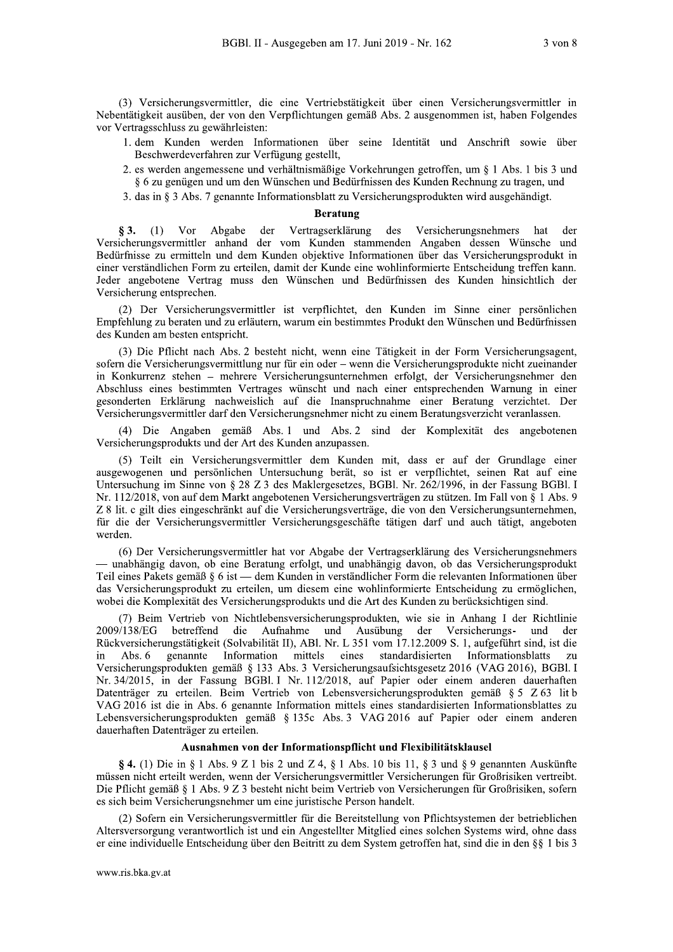(3) Versicherungsvermittler, die eine Vertriebstätigkeit über einen Versicherungsvermittler in Nebentätigkeit ausüben, der von den Verpflichtungen gemäß Abs. 2 ausgenommen ist, haben Folgendes vor Vertragsschluss zu gewährleisten:

- 1. dem Kunden werden Informationen über seine Identität und Anschrift sowie über Beschwerdeverfahren zur Verfügung gestellt,
- 2. es werden angemessene und verhältnismäßige Vorkehrungen getroffen, um § 1 Abs. 1 bis 3 und § 6 zu genügen und um den Wünschen und Bedürfnissen des Kunden Rechnung zu tragen, und
- 3. das in  $\S$  3 Abs. 7 genannte Informationsblatt zu Versicherungsprodukten wird ausgehändigt.

### **Beratung**

Vor Vertragserklärung des Abgabe der Versicherungsnehmers § 3.  $(1)$ hat der Versicherungsvermittler anhand der vom Kunden stammenden Angaben dessen Wünsche und Bedürfnisse zu ermitteln und dem Kunden objektive Informationen über das Versicherungsprodukt in einer verständlichen Form zu erteilen, damit der Kunde eine wohlinformierte Entscheidung treffen kann. Jeder angebotene Vertrag muss den Wünschen und Bedürfnissen des Kunden hinsichtlich der Versicherung entsprechen.

(2) Der Versicherungsvermittler ist verpflichtet, den Kunden im Sinne einer persönlichen Empfehlung zu beraten und zu erläutern, warum ein bestimmtes Produkt den Wünschen und Bedürfnissen des Kunden am besten entspricht.

(3) Die Pflicht nach Abs. 2 besteht nicht, wenn eine Tätigkeit in der Form Versicherungsagent, sofern die Versicherungsvermittlung nur für ein oder - wenn die Versicherungsprodukte nicht zueinander in Konkurrenz stehen – mehrere Versicherungsunternehmen erfolgt, der Versicherungsnehmer den Abschluss eines bestimmten Vertrages wünscht und nach einer entsprechenden Warnung in einer gesonderten Erklärung nachweislich auf die Inanspruchnahme einer Beratung verzichtet. Der Versicherungsvermittler darf den Versicherungsnehmer nicht zu einem Beratungsverzicht veranlassen.

(4) Die Angaben gemäß Abs. 1 und Abs. 2 sind der Komplexität des angebotenen Versicherungsprodukts und der Art des Kunden anzupassen.

(5) Teilt ein Versicherungsvermittler dem Kunden mit, dass er auf der Grundlage einer ausgewogenen und persönlichen Untersuchung berät, so ist er verpflichtet, seinen Rat auf eine Untersuchung im Sinne von § 28 Z 3 des Maklergesetzes, BGBl. Nr. 262/1996, in der Fassung BGBl. I Nr. 112/2018, von auf dem Markt angebotenen Versicherungsverträgen zu stützen. Im Fall von § 1 Abs. 9 Z 8 lit. c gilt dies eingeschränkt auf die Versicherungsverträge, die von den Versicherungsunternehmen, für die der Versicherungsvermittler Versicherungsgeschäfte tätigen darf und auch tätigt, angeboten werden.

(6) Der Versicherungsvermittler hat vor Abgabe der Vertragserklärung des Versicherungsnehmers — unabhängig davon, ob eine Beratung erfolgt, und unabhängig davon, ob das Versicherungsprodukt Teil eines Pakets gemäß § 6 ist — dem Kunden in verständlicher Form die relevanten Informationen über das Versicherungsprodukt zu erteilen, um diesem eine wohlinformierte Entscheidung zu ermöglichen, wobei die Komplexität des Versicherungsprodukts und die Art des Kunden zu berücksichtigen sind.

(7) Beim Vertrieb von Nichtlebensversicherungsprodukten, wie sie in Anhang I der Richtlinie 2009/138/EG betreffend die Aufnahme und Ausübung der Versicherungs- und der Rückversicherungstätigkeit (Solvabilität II), ABl. Nr. L 351 vom 17.12.2009 S. 1, aufgeführt sind, ist die genannte Information mittels eines standardisierten Informationsblatts in Abs.  $6$  $Z11$ Versicherungsprodukten gemäß § 133 Abs. 3 Versicherungsaufsichtsgesetz 2016 (VAG 2016), BGBl. I Nr. 34/2015, in der Fassung BGBI. I Nr. 112/2018, auf Papier oder einem anderen dauerhaften Datenträger zu erteilen. Beim Vertrieb von Lebensversicherungsprodukten gemäß § 5 Z 63 lit b VAG 2016 ist die in Abs. 6 genannte Information mittels eines standardisierten Informationsblattes zu Lebensversicherungsprodukten gemäß § 135c Abs. 3 VAG 2016 auf Papier oder einem anderen dauerhaften Datenträger zu erteilen.

#### Ausnahmen von der Informationspflicht und Flexibilitätsklausel

§ 4. (1) Die in § 1 Abs. 9 Z 1 bis 2 und Z 4, § 1 Abs. 10 bis 11, § 3 und § 9 genannten Auskünfte müssen nicht erteilt werden, wenn der Versicherungsvermittler Versicherungen für Großrisiken vertreibt. Die Pflicht gemäß § 1 Abs. 9 Z 3 besteht nicht beim Vertrieb von Versicherungen für Großrisiken, sofern es sich beim Versicherungsnehmer um eine juristische Person handelt.

(2) Sofern ein Versicherungsvermittler für die Bereitstellung von Pflichtsystemen der betrieblichen Altersversorgung verantwortlich ist und ein Angestellter Mitglied eines solchen Systems wird, ohne dass er eine individuelle Entscheidung über den Beitritt zu dem System getroffen hat, sind die in den §§ 1 bis 3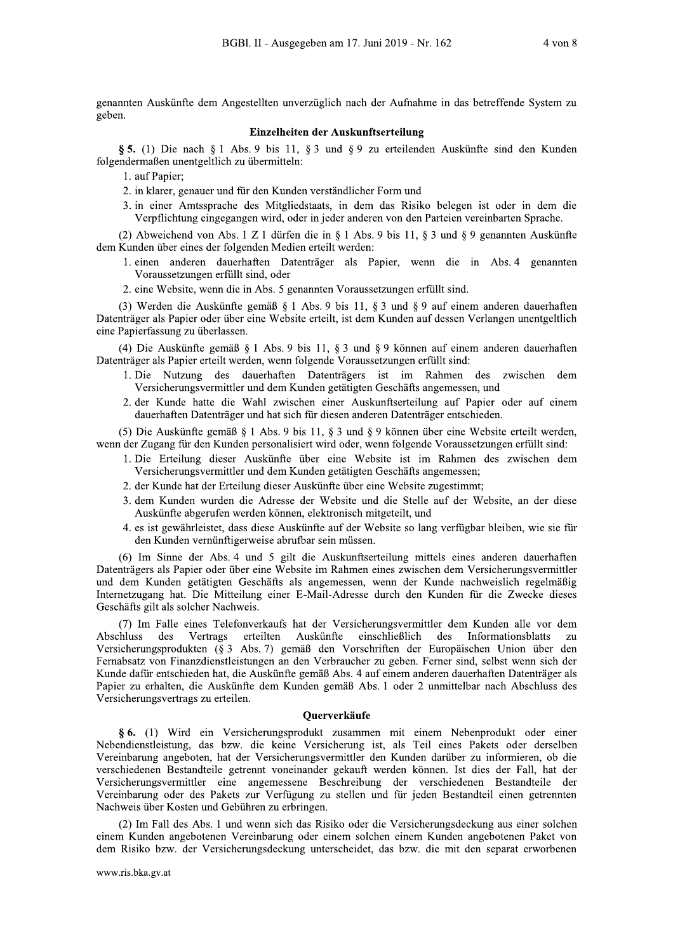genannten Auskünfte dem Angestellten unverzüglich nach der Aufnahme in das betreffende System zu geben.

#### Einzelheiten der Auskunftserteilung

§ 5. (1) Die nach § 1 Abs. 9 bis 11, § 3 und § 9 zu erteilenden Auskünfte sind den Kunden folgendermaßen unentgeltlich zu übermitteln:

1. auf Papier:

2. in klarer, genauer und für den Kunden verständlicher Form und

3. in einer Amtssprache des Mitgliedstaats, in dem das Risiko belegen ist oder in dem die Verpflichtung eingegangen wird, oder in jeder anderen von den Parteien vereinbarten Sprache.

(2) Abweichend von Abs. 1 Z 1 dürfen die in § 1 Abs. 9 bis 11, § 3 und § 9 genannten Auskünfte dem Kunden über eines der folgenden Medien erteilt werden:

- 1. einen anderen dauerhaften Datenträger als Papier, wenn die in Abs. 4 genannten Voraussetzungen erfüllt sind, oder
- 2. eine Website, wenn die in Abs. 5 genannten Voraussetzungen erfüllt sind.

(3) Werden die Auskünfte gemäß § 1 Abs. 9 bis 11, § 3 und § 9 auf einem anderen dauerhaften Datenträger als Papier oder über eine Website erteilt, ist dem Kunden auf dessen Verlangen unentgeltlich eine Papierfassung zu überlassen.

(4) Die Auskünfte gemäß § 1 Abs. 9 bis 11, § 3 und § 9 können auf einem anderen dauerhaften Datenträger als Papier erteilt werden, wenn folgende Voraussetzungen erfüllt sind:

- 1. Die Nutzung des dauerhaften Datenträgers ist im Rahmen des zwischen dem Versicherungsvermittler und dem Kunden getätigten Geschäfts angemessen, und
- 2. der Kunde hatte die Wahl zwischen einer Auskunftserteilung auf Papier oder auf einem dauerhaften Datenträger und hat sich für diesen anderen Datenträger entschieden.

(5) Die Auskünfte gemäß § 1 Abs. 9 bis 11, § 3 und § 9 können über eine Website erteilt werden, wenn der Zugang für den Kunden personalisiert wird oder, wenn folgende Voraussetzungen erfüllt sind:

- 1. Die Erteilung dieser Auskünfte über eine Website ist im Rahmen des zwischen dem Versicherungsvermittler und dem Kunden getätigten Geschäfts angemessen;
- 2. der Kunde hat der Erteilung dieser Auskünfte über eine Website zugestimmt;
- 3. dem Kunden wurden die Adresse der Website und die Stelle auf der Website, an der diese Auskünfte abgerufen werden können, elektronisch mitgeteilt, und
- 4. es ist gewährleistet, dass diese Auskünfte auf der Website so lang verfügbar bleiben, wie sie für den Kunden vernünftigerweise abrufbar sein müssen.

(6) Im Sinne der Abs. 4 und 5 gilt die Auskunftserteilung mittels eines anderen dauerhaften Datenträgers als Papier oder über eine Website im Rahmen eines zwischen dem Versicherungsvermittler und dem Kunden getätigten Geschäfts als angemessen, wenn der Kunde nachweislich regelmäßig Internetzugang hat. Die Mitteilung einer E-Mail-Adresse durch den Kunden für die Zwecke dieses Geschäfts gilt als solcher Nachweis.

(7) Im Falle eines Telefonverkaufs hat der Versicherungsvermittler dem Kunden alle vor dem Auskünfte Abschluss des Vertrags erteilten einschließlich des Informationsblatts  $Z11$ Versicherungsprodukten (§ 3 Abs. 7) gemäß den Vorschriften der Europäischen Union über den Fernabsatz von Finanzdienstleistungen an den Verbraucher zu geben. Ferner sind, selbst wenn sich der Kunde dafür entschieden hat, die Auskünfte gemäß Abs. 4 auf einem anderen dauerhaften Datenträger als Papier zu erhalten, die Auskünfte dem Kunden gemäß Abs. 1 oder 2 unmittelbar nach Abschluss des Versicherungsvertrags zu erteilen.

#### Ouerverkäufe

§ 6. (1) Wird ein Versicherungsprodukt zusammen mit einem Nebenprodukt oder einer Nebendienstleistung, das bzw. die keine Versicherung ist, als Teil eines Pakets oder derselben Vereinbarung angeboten, hat der Versicherungsvermittler den Kunden darüber zu informieren, ob die verschiedenen Bestandteile getrennt voneinander gekauft werden können. Ist dies der Fall, hat der Versicherungsvermittler eine angemessene Beschreibung der verschiedenen Bestandteile der Vereinbarung oder des Pakets zur Verfügung zu stellen und für jeden Bestandteil einen getrennten Nachweis über Kosten und Gebühren zu erbringen.

(2) Im Fall des Abs. 1 und wenn sich das Risiko oder die Versicherungsdeckung aus einer solchen einem Kunden angebotenen Vereinbarung oder einem solchen einem Kunden angebotenen Paket von dem Risiko bzw. der Versicherungsdeckung unterscheidet, das bzw. die mit den separat erworbenen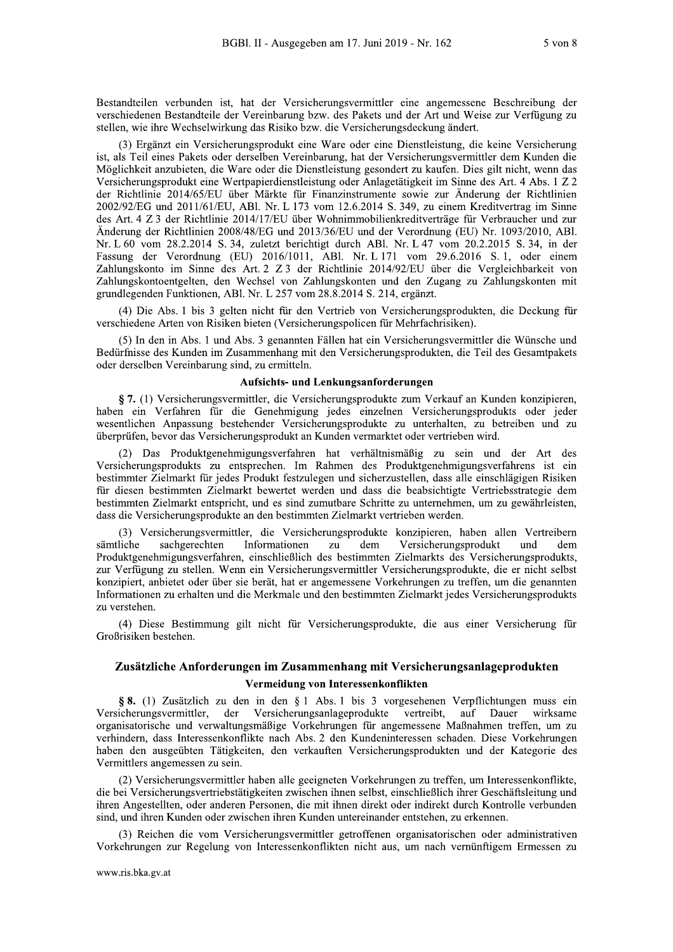Bestandteilen verbunden ist, hat der Versicherungsvermittler eine angemessene Beschreibung der verschiedenen Bestandteile der Vereinbarung bzw. des Pakets und der Art und Weise zur Verfügung zu stellen, wie ihre Wechselwirkung das Risiko bzw. die Versicherungsdeckung ändert.

(3) Ergänzt ein Versicherungsprodukt eine Ware oder eine Dienstleistung, die keine Versicherung ist, als Teil eines Pakets oder derselben Vereinbarung, hat der Versicherungsvermittler dem Kunden die Möglichkeit anzubieten, die Ware oder die Dienstleistung gesondert zu kaufen. Dies gilt nicht, wenn das Versicherungsprodukt eine Wertpapierdienstleistung oder Anlagetätigkeit im Sinne des Art. 4 Abs. 1 Z 2 der Richtlinie 2014/65/EU über Märkte für Finanzinstrumente sowie zur Änderung der Richtlinien 2002/92/EG und 2011/61/EU, ABL Nr. L 173 vom 12.6.2014 S, 349, zu einem Kreditvertrag im Sinne des Art. 4 Z 3 der Richtlinie 2014/17/EU über Wohnimmobilienkreditverträge für Verbraucher und zur Änderung der Richtlinien 2008/48/EG und 2013/36/EU und der Verordnung (EU) Nr. 1093/2010, ABl. Nr. L 60 vom 28.2.2014 S. 34, zuletzt berichtigt durch ABl. Nr. L 47 vom 20.2.2015 S. 34, in der Fassung der Verordnung (EU) 2016/1011, ABl. Nr. L 171 vom 29.6.2016 S. 1, oder einem Zahlungskonto im Sinne des Art. 2 Z 3 der Richtlinie 2014/92/EU über die Vergleichbarkeit von Zahlungskontoentgelten, den Wechsel von Zahlungskonten und den Zugang zu Zahlungskonten mit grundlegenden Funktionen, ABl. Nr. L 257 vom 28.8.2014 S. 214, ergänzt.

(4) Die Abs. 1 bis 3 gelten nicht für den Vertrieb von Versicherungsprodukten, die Deckung für verschiedene Arten von Risiken bieten (Versicherungspolicen für Mehrfachrisiken).

(5) In den in Abs. 1 und Abs. 3 genannten Fällen hat ein Versicherungsvermittler die Wünsche und Bedürfnisse des Kunden im Zusammenhang mit den Versicherungsprodukten, die Teil des Gesamtpakets oder derselben Vereinbarung sind, zu ermitteln.

#### Aufsichts- und Lenkungsanforderungen

§ 7. (1) Versicherungsvermittler, die Versicherungsprodukte zum Verkauf an Kunden konzipieren, haben ein Verfahren für die Genehmigung jedes einzelnen Versicherungsprodukts oder jeder wesentlichen Anpassung bestehender Versicherungsprodukte zu unterhalten, zu betreiben und zu überprüfen, bevor das Versicherungsprodukt an Kunden vermarktet oder vertrieben wird.

Das Produktgenehmigungsverfahren hat verhältnismäßig zu sein und der Art des Versicherungsprodukts zu entsprechen. Im Rahmen des Produktgenehmigungsverfahrens ist ein bestimmter Zielmarkt für jedes Produkt festzulegen und sicherzustellen, dass alle einschlägigen Risiken für diesen bestimmten Zielmarkt bewertet werden und dass die beabsichtigte Vertriebsstrategie dem bestimmten Zielmarkt entspricht, und es sind zumutbare Schritte zu unternehmen, um zu gewährleisten, dass die Versicherungsprodukte an den bestimmten Zielmarkt vertrieben werden.

(3) Versicherungsvermittler, die Versicherungsprodukte konzipieren, haben allen Vertreibern Informationen Versicherungsprodukt sämtliche sachgerechten zu dem und dem Produktgenehmigungsverfahren, einschließlich des bestimmten Zielmarkts des Versicherungsprodukts, zur Verfügung zu stellen. Wenn ein Versicherungsvermittler Versicherungsprodukte, die er nicht selbst konzipiert, anbietet oder über sie berät, hat er angemessene Vorkehrungen zu treffen, um die genannten Informationen zu erhalten und die Merkmale und den bestimmten Zielmarkt jedes Versicherungsprodukts zu verstehen.

(4) Diese Bestimmung gilt nicht für Versicherungsprodukte, die aus einer Versicherung für Großrisiken bestehen.

## Zusätzliche Anforderungen im Zusammenhang mit Versicherungsanlageprodukten

#### Vermeidung von Interessenkonflikten

§ 8. (1) Zusätzlich zu den in den § 1 Abs. 1 bis 3 vorgesehenen Verpflichtungen muss ein Versicherungsanlageprodukte vertreibt, auf Dauer Versicherungsvermittler. der wirksame organisatorische und verwaltungsmäßige Vorkehrungen für angemessene Maßnahmen treffen, um zu verhindern, dass Interessenkonflikte nach Abs. 2 den Kundeninteressen schaden. Diese Vorkehrungen haben den ausgeübten Tätigkeiten, den verkauften Versicherungsprodukten und der Kategorie des Vermittlers angemessen zu sein.

(2) Versicherungsvermittler haben alle geeigneten Vorkehrungen zu treffen, um Interessenkonflikte, die bei Versicherungsvertriebstätigkeiten zwischen ihnen selbst, einschließlich ihrer Geschäftsleitung und ihren Angestellten, oder anderen Personen, die mit ihnen direkt oder indirekt durch Kontrolle verbunden sind, und ihren Kunden oder zwischen ihren Kunden untereinander entstehen, zu erkennen.

(3) Reichen die vom Versicherungsvermittler getroffenen organisatorischen oder administrativen Vorkehrungen zur Regelung von Interessenkonflikten nicht aus, um nach vernünftigem Ermessen zu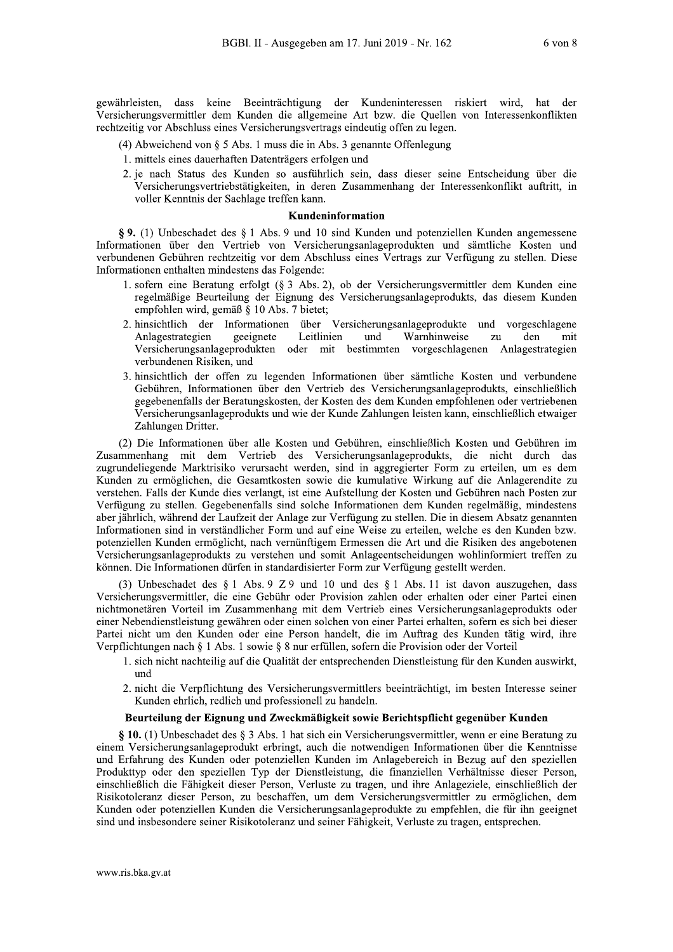gewährleisten, dass keine Beeinträchtigung der Kundeninteressen riskiert wird, hat der Versicherungsvermittler dem Kunden die allgemeine Art bzw. die Quellen von Interessenkonflikten rechtzeitig vor Abschluss eines Versicherungsvertrags eindeutig offen zu legen.

- (4) Abweichend von  $\S$  5 Abs. 1 muss die in Abs. 3 genannte Offenlegung
- 1. mittels eines dauerhaften Datenträgers erfolgen und
- 2. je nach Status des Kunden so ausführlich sein, dass dieser seine Entscheidung über die Versicherungsvertriebstätigkeiten, in deren Zusammenhang der Interessenkonflikt auftritt, in voller Kenntnis der Sachlage treffen kann.

#### Kundeninformation

§ 9. (1) Unbeschadet des § 1 Abs. 9 und 10 sind Kunden und potenziellen Kunden angemessene Informationen über den Vertrieb von Versicherungsanlageprodukten und sämtliche Kosten und verbundenen Gebühren rechtzeitig vor dem Abschluss eines Vertrags zur Verfügung zu stellen. Diese Informationen enthalten mindestens das Folgende:

- 1. sofern eine Beratung erfolgt (§ 3 Abs. 2), ob der Versicherungsvermittler dem Kunden eine regelmäßige Beurteilung der Eignung des Versicherungsanlageprodukts, das diesem Kunden empfohlen wird, gemäß § 10 Abs. 7 bietet;
- 2. hinsichtlich der Informationen über Versicherungsanlageprodukte und vorgeschlagene Anlagestrategien Leitlinien Warnhinweise geeignete und zu den mit Versicherungsanlageprodukten oder mit bestimmten vorgeschlagenen Anlagestrategien verbundenen Risiken, und
- 3. hinsichtlich der offen zu legenden Informationen über sämtliche Kosten und verbundene Gebühren, Informationen über den Vertrieb des Versicherungsanlageprodukts, einschließlich gegebenenfalls der Beratungskosten, der Kosten des dem Kunden empfohlenen oder vertriebenen Versicherungsanlageprodukts und wie der Kunde Zahlungen leisten kann, einschließlich etwaiger Zahlungen Dritter.

(2) Die Informationen über alle Kosten und Gebühren, einschließlich Kosten und Gebühren im Zusammenhang mit dem Vertrieb des Versicherungsanlageprodukts, die nicht durch das zugrundeliegende Marktrisiko verursacht werden, sind in aggregierter Form zu erteilen, um es dem Kunden zu ermöglichen, die Gesamtkosten sowie die kumulative Wirkung auf die Anlagerendite zu verstehen. Falls der Kunde dies verlangt, ist eine Aufstellung der Kosten und Gebühren nach Posten zur Verfügung zu stellen. Gegebenenfalls sind solche Informationen dem Kunden regelmäßig, mindestens aber jährlich, während der Laufzeit der Anlage zur Verfügung zu stellen. Die in diesem Absatz genannten Informationen sind in verständlicher Form und auf eine Weise zu erteilen, welche es den Kunden bzw. potenziellen Kunden ermöglicht, nach vernünftigem Ermessen die Art und die Risiken des angebotenen Versicherungsanlageprodukts zu verstehen und somit Anlageentscheidungen wohlinformiert treffen zu können. Die Informationen dürfen in standardisierter Form zur Verfügung gestellt werden.

(3) Unbeschadet des  $\S 1$  Abs. 9 Z 9 und 10 und des  $\S 1$  Abs. 11 ist davon auszugehen, dass Versicherungsvermittler, die eine Gebühr oder Provision zahlen oder erhalten oder einer Partei einen nichtmonetären Vorteil im Zusammenhang mit dem Vertrieb eines Versicherungsanlageprodukts oder einer Nebendienstleistung gewähren oder einen solchen von einer Partei erhalten, sofern es sich bei dieser Partei nicht um den Kunden oder eine Person handelt, die im Auftrag des Kunden tätig wird, ihre Verpflichtungen nach § 1 Abs. 1 sowie § 8 nur erfüllen, sofern die Provision oder der Vorteil

- 1. sich nicht nachteilig auf die Qualität der entsprechenden Dienstleistung für den Kunden auswirkt, und
- 2. nicht die Verpflichtung des Versicherungsvermittlers beeinträchtigt, im besten Interesse seiner Kunden ehrlich, redlich und professionell zu handeln.

#### Beurteilung der Eignung und Zweckmäßigkeit sowie Berichtspflicht gegenüber Kunden

§ 10. (1) Unbeschadet des § 3 Abs. 1 hat sich ein Versicherungsvermittler, wenn er eine Beratung zu einem Versicherungsanlageprodukt erbringt, auch die notwendigen Informationen über die Kenntnisse und Erfahrung des Kunden oder potenziellen Kunden im Anlagebereich in Bezug auf den speziellen Produkttyp oder den speziellen Typ der Dienstleistung, die finanziellen Verhältnisse dieser Person, einschließlich die Fähigkeit dieser Person, Verluste zu tragen, und ihre Anlageziele, einschließlich der Risikotoleranz dieser Person, zu beschaffen, um dem Versicherungsvermittler zu ermöglichen, dem Kunden oder potenziellen Kunden die Versicherungsanlageprodukte zu empfehlen, die für ihn geeignet sind und insbesondere seiner Risikotoleranz und seiner Fähigkeit, Verluste zu tragen, entsprechen.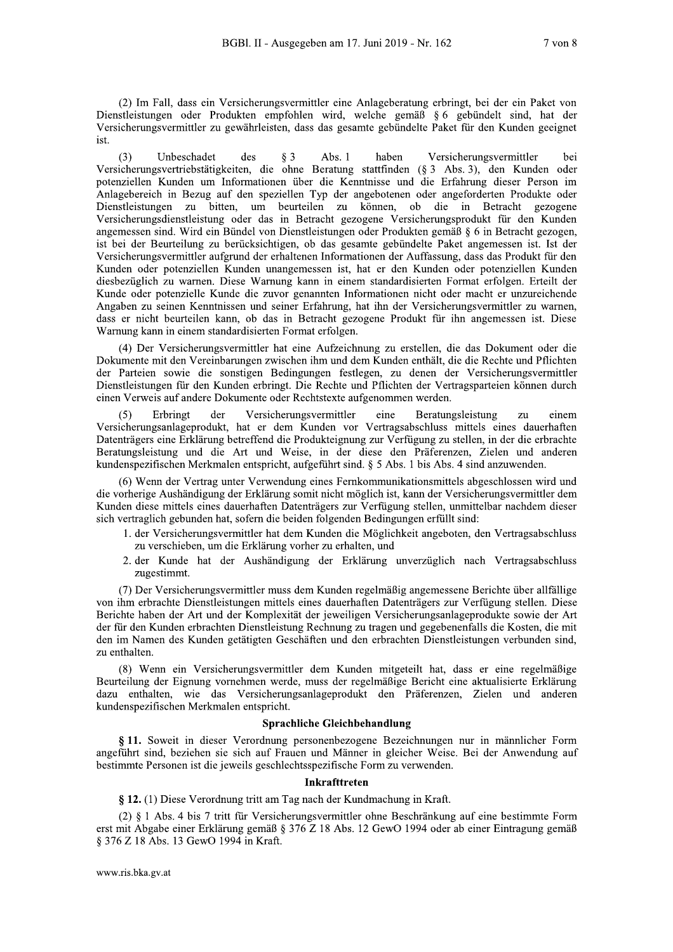(2) Im Fall, dass ein Versicherungsvermittler eine Anlageberatung erbringt, bei der ein Paket von Dienstleistungen oder Produkten empfohlen wird, welche gemäß § 6 gebündelt sind, hat der Versicherungsvermittler zu gewährleisten, dass das gesamte gebündelte Paket für den Kunden geeignet ist.

 $(3)$ Unbeschadet des  $\delta$  3 Abs.  $1$ haben Versicherungsvermittler hei Versicherungsvertriebstätigkeiten, die ohne Beratung stattfinden (§ 3 Abs. 3), den Kunden oder potenziellen Kunden um Informationen über die Kenntnisse und die Erfahrung dieser Person im Anlagebereich in Bezug auf den speziellen Typ der angebotenen oder angeforderten Produkte oder Dienstleistungen zu bitten, um beurteilen zu können, ob die in Betracht gezogene Versicherungsdienstleistung oder das in Betracht gezogene Versicherungsprodukt für den Kunden angemessen sind. Wird ein Bündel von Dienstleistungen oder Produkten gemäß § 6 in Betracht gezogen. ist bei der Beurteilung zu berücksichtigen, ob das gesamte gebündelte Paket angemessen ist. Ist der Versicherungsvermittler aufgrund der erhaltenen Informationen der Auffassung, dass das Produkt für den Kunden oder potenziellen Kunden unangemessen ist, hat er den Kunden oder potenziellen Kunden diesbezüglich zu warnen. Diese Warnung kann in einem standardisierten Format erfolgen. Erteilt der Kunde oder potenzielle Kunde die zuvor genannten Informationen nicht oder macht er unzureichende Angaben zu seinen Kenntnissen und seiner Erfahrung, hat ihn der Versicherungsvermittler zu warnen, dass er nicht beurteilen kann, ob das in Betracht gezogene Produkt für ihn angemessen ist. Diese Warnung kann in einem standardisierten Format erfolgen.

(4) Der Versicherungsvermittler hat eine Aufzeichnung zu erstellen, die das Dokument oder die Dokumente mit den Vereinbarungen zwischen ihm und dem Kunden enthält, die die Rechte und Pflichten der Parteien sowie die sonstigen Bedingungen festlegen, zu denen der Versicherungsvermittler Dienstleistungen für den Kunden erbringt. Die Rechte und Pflichten der Vertragsparteien können durch einen Verweis auf andere Dokumente oder Rechtstexte aufgenommen werden.

Erbringt der Versicherungsvermittler eine Beratungsleistung zu einem  $(5)$ Versicherungsanlageprodukt, hat er dem Kunden vor Vertragsabschluss mittels eines dauerhaften Datenträgers eine Erklärung betreffend die Produkteignung zur Verfügung zu stellen, in der die erbrachte Beratungsleistung und die Art und Weise, in der diese den Präferenzen, Zielen und anderen kundenspezifischen Merkmalen entspricht, aufgeführt sind. § 5 Abs. 1 bis Abs. 4 sind anzuwenden.

(6) Wenn der Vertrag unter Verwendung eines Fernkommunikationsmittels abgeschlossen wird und die vorherige Aushändigung der Erklärung somit nicht möglich ist, kann der Versicherungsvermittler dem Kunden diese mittels eines dauerhaften Datenträgers zur Verfügung stellen, unmittelbar nachdem dieser sich vertraglich gebunden hat, sofern die beiden folgenden Bedingungen erfüllt sind:

- 1. der Versicherungsvermittler hat dem Kunden die Möglichkeit angeboten, den Vertragsabschluss zu verschieben, um die Erklärung vorher zu erhalten, und
- 2. der Kunde hat der Aushändigung der Erklärung unverzüglich nach Vertragsabschluss zugestimmt.

(7) Der Versicherungsvermittler muss dem Kunden regelmäßig angemessene Berichte über allfällige von ihm erbrachte Dienstleistungen mittels eines dauerhaften Datenträgers zur Verfügung stellen. Diese Berichte haben der Art und der Komplexität der jeweiligen Versicherungsanlageprodukte sowie der Art der für den Kunden erbrachten Dienstleistung Rechnung zu tragen und gegebenenfalls die Kosten, die mit den im Namen des Kunden getätigten Geschäften und den erbrachten Dienstleistungen verbunden sind, zu enthalten.

(8) Wenn ein Versicherungsvermittler dem Kunden mitgeteilt hat, dass er eine regelmäßige Beurteilung der Eignung vornehmen werde, muss der regelmäßige Bericht eine aktualisierte Erklärung dazu enthalten, wie das Versicherungsanlageprodukt den Präferenzen, Zielen und anderen kundenspezifischen Merkmalen entspricht.

#### Sprachliche Gleichbehandlung

§ 11. Soweit in dieser Verordnung personenbezogene Bezeichnungen nur in männlicher Form angeführt sind, beziehen sie sich auf Frauen und Männer in gleicher Weise. Bei der Anwendung auf bestimmte Personen ist die jeweils geschlechtsspezifische Form zu verwenden.

#### Inkrafttreten

§ 12. (1) Diese Verordnung tritt am Tag nach der Kundmachung in Kraft.

(2) § 1 Abs. 4 bis 7 tritt für Versicherungsvermittler ohne Beschränkung auf eine bestimmte Form erst mit Abgabe einer Erklärung gemäß § 376 Z 18 Abs. 12 GewO 1994 oder ab einer Eintragung gemäß § 376 Z 18 Abs. 13 GewO 1994 in Kraft.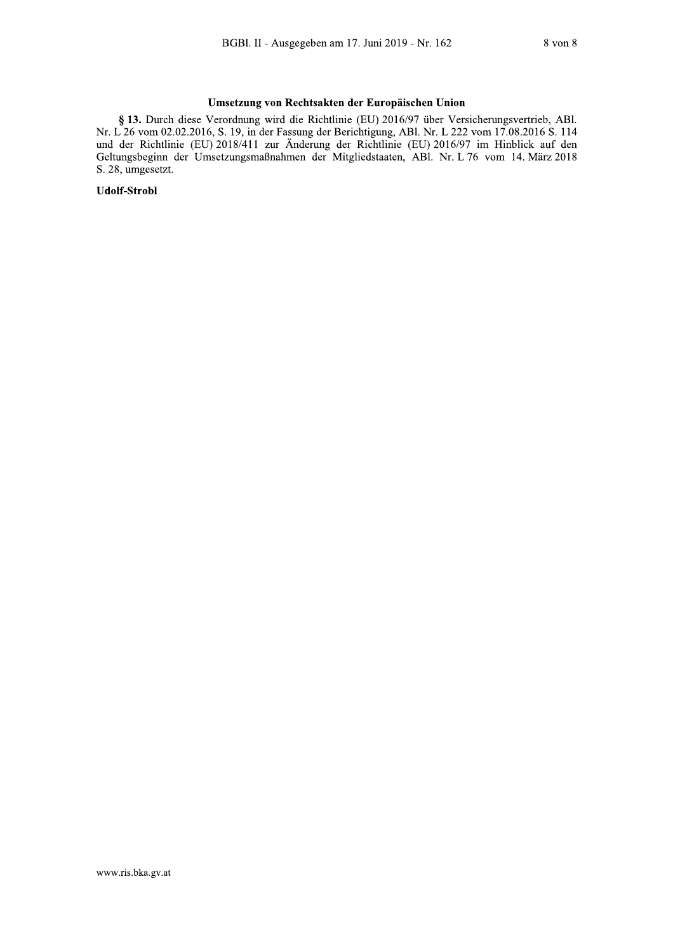## Umsetzung von Rechtsakten der Europäischen Union

§ 13. Durch diese Verordnung wird die Richtlinie (EU) 2016/97 über Versicherungsvertrieb, ABl. Nr. L 26 vom 02.02.2016, S. 19, in der Fassung der Berichtigung, ABl. Nr. L 222 vom 17.08.2016 S. 114 und der Richtlinie (EU) 2018/411 zur Änderung der Richtlinie (EU) 2016/97 im Hinblick auf den Geltungsbeginn der Umsetzungsmaßnahmen der Mitgliedstaaten, ABI. Nr. L 76 vom 14. März 2018 S. 28, umgesetzt.

**Udolf-Strobl**